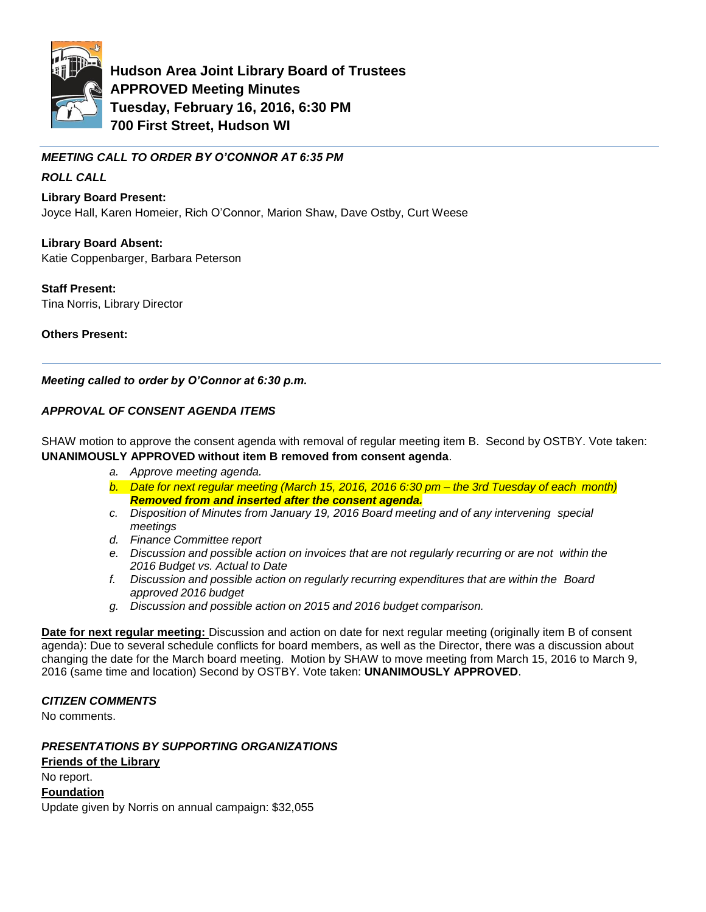

**Hudson Area Joint Library Board of Trustees APPROVED Meeting Minutes Tuesday, February 16, 2016, 6:30 PM 700 First Street, Hudson WI** 

*MEETING CALL TO ORDER BY O'CONNOR AT 6:35 PM*

# *ROLL CALL*

**Library Board Present:**

Joyce Hall, Karen Homeier, Rich O'Connor, Marion Shaw, Dave Ostby, Curt Weese

**Library Board Absent:** Katie Coppenbarger, Barbara Peterson

**Staff Present:** Tina Norris, Library Director

**Others Present:**

*Meeting called to order by O'Connor at 6:30 p.m.*

## *APPROVAL OF CONSENT AGENDA ITEMS*

SHAW motion to approve the consent agenda with removal of regular meeting item B. Second by OSTBY. Vote taken: **UNANIMOUSLY APPROVED without item B removed from consent agenda**.

- *a. Approve meeting agenda.*
- *b. Date for next regular meeting (March 15, 2016, 2016 6:30 pm – the 3rd Tuesday of each month) Removed from and inserted after the consent agenda.*
- *c. Disposition of Minutes from January 19, 2016 Board meeting and of any intervening special meetings*
- *d. Finance Committee report*
- *e. Discussion and possible action on invoices that are not regularly recurring or are not within the 2016 Budget vs. Actual to Date*
- *f. Discussion and possible action on regularly recurring expenditures that are within the Board approved 2016 budget*
- *g. Discussion and possible action on 2015 and 2016 budget comparison.*

**Date for next regular meeting:** Discussion and action on date for next regular meeting (originally item B of consent agenda): Due to several schedule conflicts for board members, as well as the Director, there was a discussion about changing the date for the March board meeting. Motion by SHAW to move meeting from March 15, 2016 to March 9, 2016 (same time and location) Second by OSTBY. Vote taken: **UNANIMOUSLY APPROVED**.

## *CITIZEN COMMENTS*

No comments.

*PRESENTATIONS BY SUPPORTING ORGANIZATIONS*

**Friends of the Library** No report. **Foundation** Update given by Norris on annual campaign: \$32,055